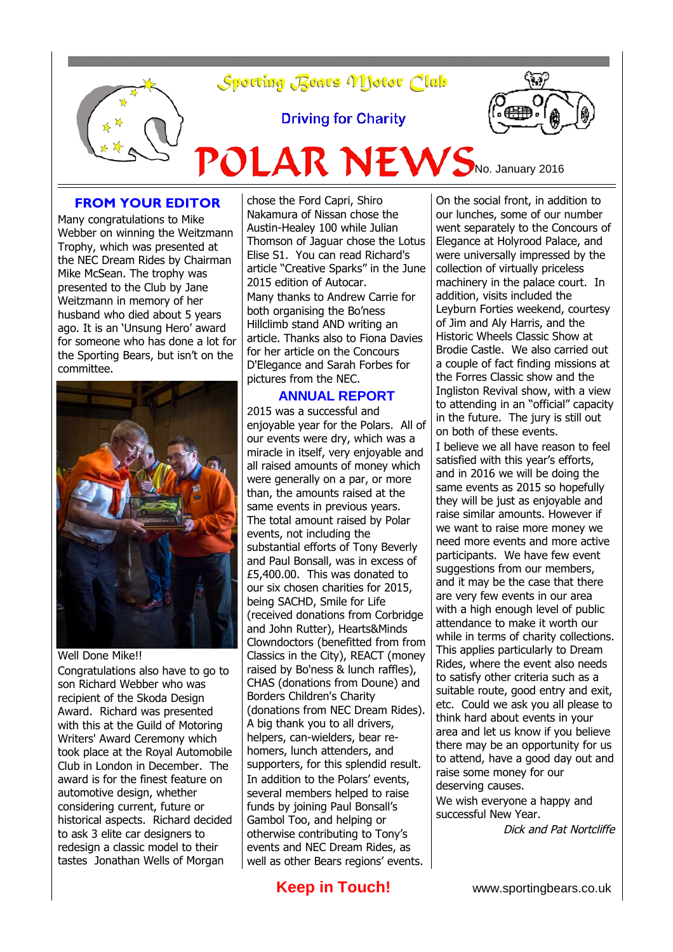

**Driving for Charity** 

 $POLAR$  NEWS<sub>No. January 2016</sub>



# **FROM YOUR EDITOR**

Many congratulations to Mike Webber on winning the Weitzmann Trophy, which was presented at the NEC Dream Rides by Chairman Mike McSean. The trophy was presented to the Club by Jane Weitzmann in memory of her husband who died about 5 years ago. It is an 'Unsung Hero' award for someone who has done a lot for the Sporting Bears, but isn't on the committee.



Well Done Mike!!

Congratulations also have to go to son Richard Webber who was recipient of the Skoda Design Award. Richard was presented with this at the Guild of Motoring Writers' Award Ceremony which took place at the Royal Automobile Club in London in December. The award is for the finest feature on automotive design, whether considering current, future or historical aspects. Richard decided to ask 3 elite car designers to redesign a classic model to their tastes Jonathan Wells of Morgan

chose the Ford Capri, Shiro Nakamura of Nissan chose the Austin-Healey 100 while Julian Thomson of Jaguar chose the Lotus Elise S1. You can read Richard's article "Creative Sparks" in the June 2015 edition of Autocar. Many thanks to Andrew Carrie for both organising the Bo'ness Hillclimb stand AND writing an article. Thanks also to Fiona Davies for her article on the Concours D'Elegance and Sarah Forbes for pictures from the NEC.

#### **ANNUAL REPORT**

2015 was a successful and enjoyable year for the Polars. All of our events were dry, which was a miracle in itself, very enjoyable and all raised amounts of money which were generally on a par, or more than, the amounts raised at the same events in previous years. The total amount raised by Polar events, not including the substantial efforts of Tony Beverly and Paul Bonsall, was in excess of £5,400.00. This was donated to our six chosen charities for 2015, being SACHD, Smile for Life (received donations from Corbridge and John Rutter), Hearts&Minds Clowndoctors (benefitted from from Classics in the City), REACT (money raised by Bo'ness & lunch raffles), CHAS (donations from Doune) and Borders Children's Charity (donations from NEC Dream Rides). A big thank you to all drivers, helpers, can-wielders, bear rehomers, lunch attenders, and supporters, for this splendid result. In addition to the Polars' events, several members helped to raise funds by joining Paul Bonsall's Gambol Too, and helping or otherwise contributing to Tony's events and NEC Dream Rides, as well as other Bears regions' events.

On the social front, in addition to our lunches, some of our number went separately to the Concours of Elegance at Holyrood Palace, and were universally impressed by the collection of virtually priceless machinery in the palace court. In addition, visits included the Leyburn Forties weekend, courtesy of Jim and Aly Harris, and the Historic Wheels Classic Show at Brodie Castle. We also carried out a couple of fact finding missions at the Forres Classic show and the Ingliston Revival show, with a view to attending in an "official" capacity in the future. The jury is still out on both of these events.

I believe we all have reason to feel satisfied with this year's efforts, and in 2016 we will be doing the same events as 2015 so hopefully they will be just as enjoyable and raise similar amounts. However if we want to raise more money we need more events and more active participants. We have few event suggestions from our members, and it may be the case that there are very few events in our area with a high enough level of public attendance to make it worth our while in terms of charity collections. This applies particularly to Dream Rides, where the event also needs to satisfy other criteria such as a suitable route, good entry and exit, etc. Could we ask you all please to think hard about events in your area and let us know if you believe there may be an opportunity for us to attend, have a good day out and raise some money for our deserving causes.

We wish everyone a happy and successful New Year.

Dick and Pat Nortcliffe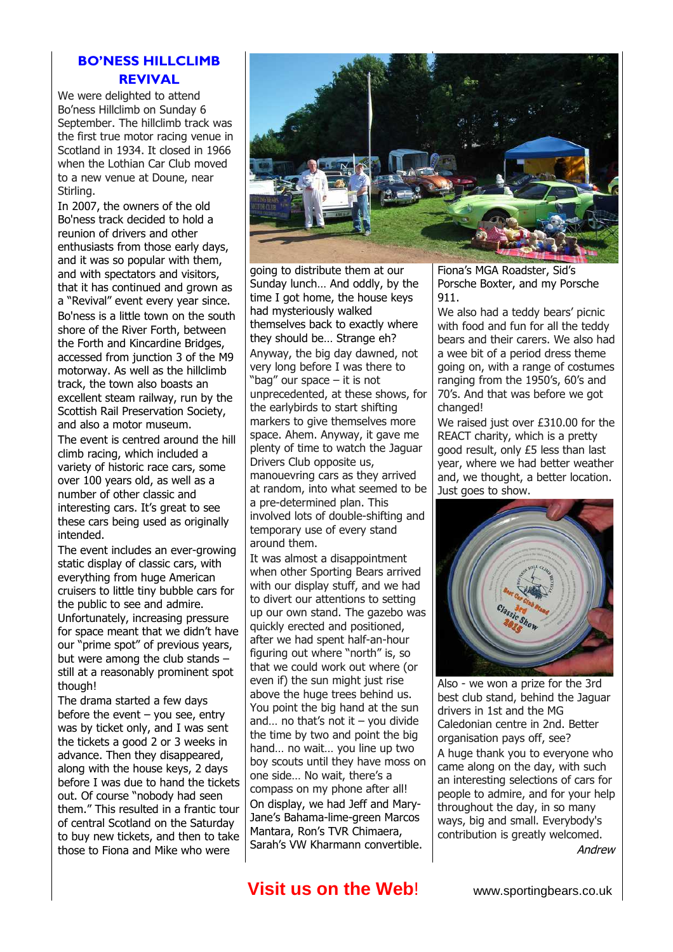### **BO'NESS HILLCLIMB REVIVAL**

We were delighted to attend Bo'ness Hillclimb on Sunday 6 September. The hillclimb track was the first true motor racing venue in Scotland in 1934. It closed in 1966 when the Lothian Car Club moved to a new venue at Doune, near Stirling.

In 2007, the owners of the old Bo'ness track decided to hold a reunion of drivers and other enthusiasts from those early days, and it was so popular with them, and with spectators and visitors, that it has continued and grown as a "Revival" event every year since. Bo'ness is a little town on the south shore of the River Forth, between the Forth and Kincardine Bridges, accessed from junction 3 of the M9 motorway. As well as the hillclimb track, the town also boasts an excellent steam railway, run by the Scottish Rail Preservation Society, and also a motor museum.

The event is centred around the hill climb racing, which included a variety of historic race cars, some over 100 years old, as well as a number of other classic and interesting cars. It's great to see these cars being used as originally intended.

The event includes an ever-growing static display of classic cars, with everything from huge American cruisers to little tiny bubble cars for the public to see and admire. Unfortunately, increasing pressure for space meant that we didn't have our "prime spot" of previous years, but were among the club stands – still at a reasonably prominent spot though!

The drama started a few days before the event  $-$  you see, entry was by ticket only, and I was sent the tickets a good 2 or 3 weeks in advance. Then they disappeared, along with the house keys, 2 days before I was due to hand the tickets out. Of course "nobody had seen them." This resulted in a frantic tour of central Scotland on the Saturday to buy new tickets, and then to take those to Fiona and Mike who were



going to distribute them at our Sunday lunch… And oddly, by the time I got home, the house keys had mysteriously walked themselves back to exactly where they should be… Strange eh? Anyway, the big day dawned, not very long before I was there to "bag" our space – it is not unprecedented, at these shows, for the earlybirds to start shifting markers to give themselves more space. Ahem. Anyway, it gave me plenty of time to watch the Jaguar Drivers Club opposite us, manouevring cars as they arrived at random, into what seemed to be a pre-determined plan. This involved lots of double-shifting and temporary use of every stand around them.

It was almost a disappointment when other Sporting Bears arrived with our display stuff, and we had to divert our attentions to setting up our own stand. The gazebo was quickly erected and positioned, after we had spent half-an-hour figuring out where "north" is, so that we could work out where (or even if) the sun might just rise above the huge trees behind us. You point the big hand at the sun and... no that's not it – you divide the time by two and point the big hand… no wait… you line up two boy scouts until they have moss on one side… No wait, there's a compass on my phone after all! On display, we had Jeff and Mary-Jane's Bahama-lime-green Marcos Mantara, Ron's TVR Chimaera, Sarah's VW Kharmann convertible.

Fiona's MGA Roadster, Sid's Porsche Boxter, and my Porsche 911.

We also had a teddy bears' picnic with food and fun for all the teddy bears and their carers. We also had a wee bit of a period dress theme going on, with a range of costumes ranging from the 1950's, 60's and 70's. And that was before we got changed!

We raised just over £310.00 for the REACT charity, which is a pretty good result, only £5 less than last year, where we had better weather and, we thought, a better location. Just goes to show.



Also - we won a prize for the 3rd best club stand, behind the Jaguar drivers in 1st and the MG Caledonian centre in 2nd. Better organisation pays off, see? A huge thank you to everyone who came along on the day, with such an interesting selections of cars for people to admire, and for your help throughout the day, in so many ways, big and small. Everybody's contribution is greatly welcomed.

Andrew

## **Visit us on the Web!** www.sportingbears.co.uk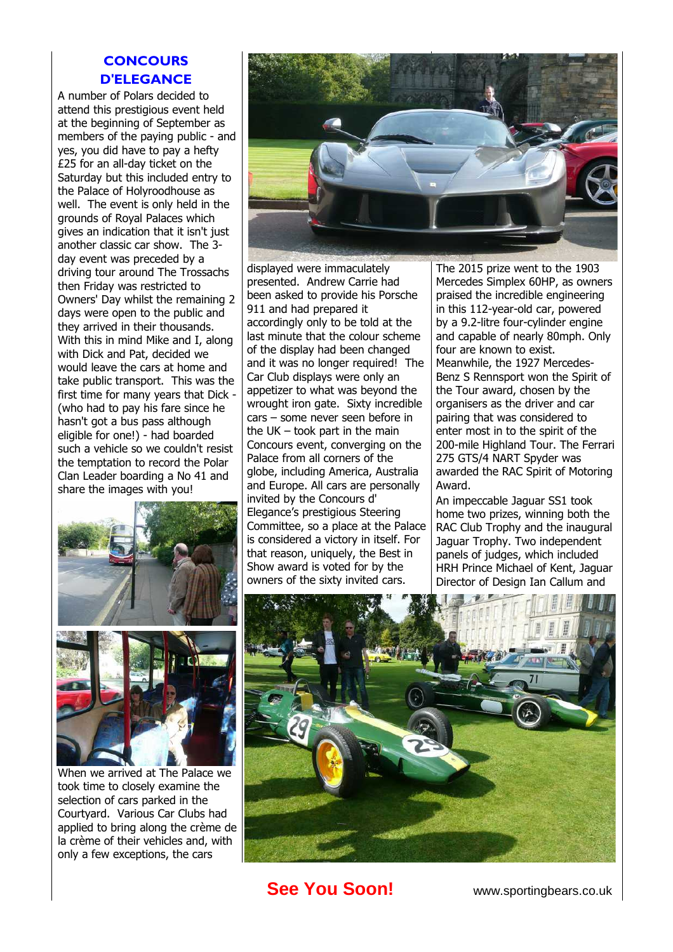### **CONCOURS D'ELEGANCE**

A number of Polars decided to attend this prestigious event held at the beginning of September as members of the paying public - and yes, you did have to pay a hefty £25 for an all-day ticket on the Saturday but this included entry to the Palace of Holyroodhouse as well. The event is only held in the grounds of Royal Palaces which gives an indication that it isn't just another classic car show. The 3 day event was preceded by a driving tour around The Trossachs then Friday was restricted to Owners' Day whilst the remaining 2 days were open to the public and they arrived in their thousands. With this in mind Mike and I, along with Dick and Pat, decided we would leave the cars at home and take public transport. This was the first time for many years that Dick - (who had to pay his fare since he hasn't got a bus pass although eligible for one!) - had boarded such a vehicle so we couldn't resist the temptation to record the Polar Clan Leader boarding a No 41 and share the images with you!





When we arrived at The Palace we took time to closely examine the selection of cars parked in the Courtyard. Various Car Clubs had applied to bring along the crème de la crème of their vehicles and, with only a few exceptions, the cars



displayed were immaculately presented. Andrew Carrie had been asked to provide his Porsche 911 and had prepared it accordingly only to be told at the last minute that the colour scheme of the display had been changed and it was no longer required! The Car Club displays were only an appetizer to what was beyond the wrought iron gate. Sixty incredible cars – some never seen before in the UK – took part in the main Concours event, converging on the Palace from all corners of the globe, including America, Australia and Europe. All cars are personally invited by the Concours d' Elegance's prestigious Steering Committee, so a place at the Palace is considered a victory in itself. For that reason, uniquely, the Best in Show award is voted for by the owners of the sixty invited cars.

The 2015 prize went to the 1903 Mercedes Simplex 60HP, as owners praised the incredible engineering in this 112-year-old car, powered by a 9.2-litre four-cylinder engine and capable of nearly 80mph. Only four are known to exist. Meanwhile, the 1927 Mercedes-Benz S Rennsport won the Spirit of the Tour award, chosen by the organisers as the driver and car pairing that was considered to enter most in to the spirit of the 200-mile Highland Tour. The Ferrari 275 GTS/4 NART Spyder was awarded the RAC Spirit of Motoring Award.

An impeccable Jaguar SS1 took home two prizes, winning both the RAC Club Trophy and the inaugural Jaguar Trophy. Two independent panels of judges, which included HRH Prince Michael of Kent, Jaguar Director of Design Ian Callum and



**See You Soon!** www.sportingbears.co.uk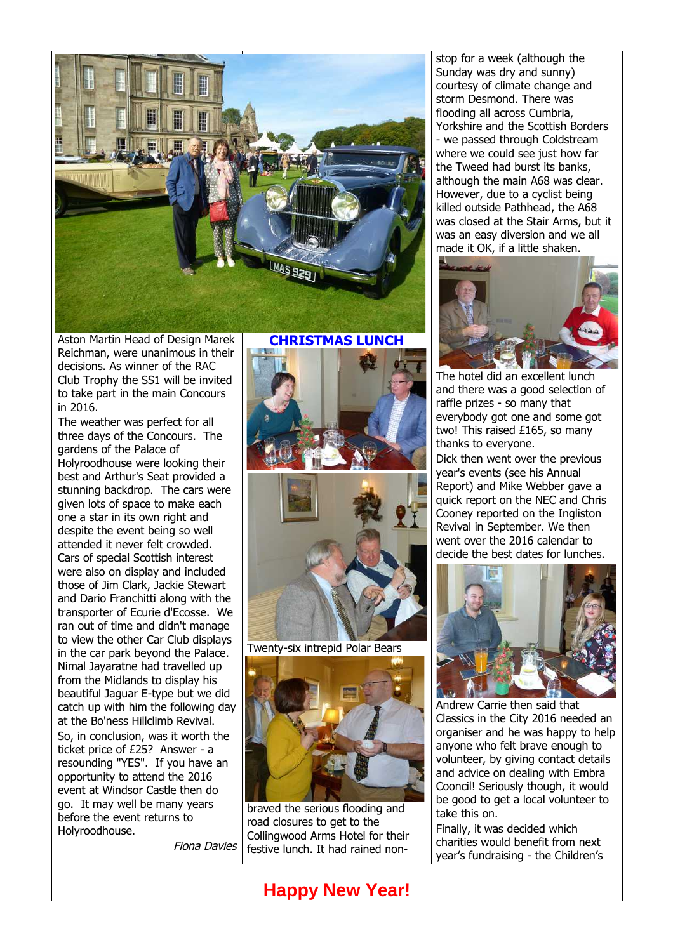

Aston Martin Head of Design Marek Reichman, were unanimous in their decisions. As winner of the RAC Club Trophy the SS1 will be invited to take part in the main Concours in 2016.

The weather was perfect for all three days of the Concours. The gardens of the Palace of Holyroodhouse were looking their best and Arthur's Seat provided a stunning backdrop. The cars were given lots of space to make each one a star in its own right and despite the event being so well attended it never felt crowded. Cars of special Scottish interest were also on display and included those of Jim Clark, Jackie Stewart and Dario Franchitti along with the transporter of Ecurie d'Ecosse. We ran out of time and didn't manage to view the other Car Club displays in the car park beyond the Palace. Nimal Jayaratne had travelled up from the Midlands to display his beautiful Jaguar E-type but we did catch up with him the following day at the Bo'ness Hillclimb Revival. So, in conclusion, was it worth the ticket price of £25? Answer - a resounding "YES". If you have an opportunity to attend the 2016 event at Windsor Castle then do go. It may well be many years before the event returns to Holyroodhouse.

Fiona Davies

**CHRISTMAS LUNCH**



Twenty-six intrepid Polar Bears



braved the serious flooding and road closures to get to the Collingwood Arms Hotel for their festive lunch. It had rained non-

## **Happy New Year!**

stop for a week (although the Sunday was dry and sunny) courtesy of climate change and storm Desmond. There was flooding all across Cumbria, Yorkshire and the Scottish Borders - we passed through Coldstream where we could see just how far the Tweed had burst its banks, although the main A68 was clear. However, due to a cyclist being killed outside Pathhead, the A68 was closed at the Stair Arms, but it was an easy diversion and we all made it OK, if a little shaken.



The hotel did an excellent lunch and there was a good selection of raffle prizes - so many that everybody got one and some got two! This raised £165, so many thanks to everyone.

Dick then went over the previous year's events (see his Annual Report) and Mike Webber gave a quick report on the NEC and Chris Cooney reported on the Ingliston Revival in September. We then went over the 2016 calendar to decide the best dates for lunches.



Andrew Carrie then said that Classics in the City 2016 needed an organiser and he was happy to help anyone who felt brave enough to volunteer, by giving contact details and advice on dealing with Embra Cooncil! Seriously though, it would be good to get a local volunteer to take this on.

Finally, it was decided which charities would benefit from next year's fundraising - the Children's